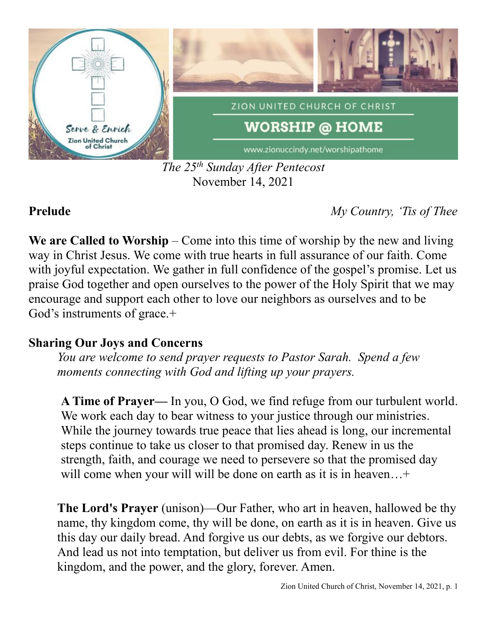

*The 25th Sunday After Pentecost* November 14, 2021

**Prelude** *My Country, 'Tis of Thee*

**We are Called to Worship** – Come into this time of worship by the new and living way in Christ Jesus. We come with true hearts in full assurance of our faith. Come with joyful expectation. We gather in full confidence of the gospel's promise. Let us praise God together and open ourselves to the power of the Holy Spirit that we may encourage and support each other to love our neighbors as ourselves and to be God's instruments of grace.+

# **Sharing Our Joys and Concerns**

*You are welcome to send prayer requests to Pastor Sarah. Spend a few moments connecting with God and lifting up your prayers.*

**A Time of Prayer—** In you, O God, we find refuge from our turbulent world. We work each day to bear witness to your justice through our ministries. While the journey towards true peace that lies ahead is long, our incremental steps continue to take us closer to that promised day. Renew in us the strength, faith, and courage we need to persevere so that the promised day will come when your will will be done on earth as it is in heaven...+

**The Lord's Prayer** (unison)—Our Father, who art in heaven, hallowed be thy name, thy kingdom come, thy will be done, on earth as it is in heaven. Give us this day our daily bread. And forgive us our debts, as we forgive our debtors. And lead us not into temptation, but deliver us from evil. For thine is the kingdom, and the power, and the glory, forever. Amen.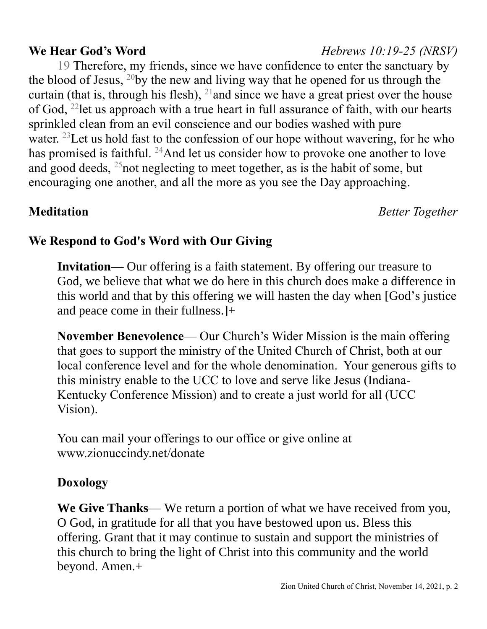**Meditation** *Better Together*

19 Therefore, my friends, since we have confidence to enter the sanctuary by the blood of Jesus,  $^{20}$ by the new and living way that he opened for us through the curtain (that is, through his flesh),  $^{21}$  and since we have a great priest over the house of God,  $^{22}$ let us approach with a true heart in full assurance of faith, with our hearts sprinkled clean from an evil conscience and our bodies washed with pure water. <sup>23</sup>Let us hold fast to the confession of our hope without wavering, for he who has promised is faithful. <sup>24</sup>And let us consider how to provoke one another to love and good deeds,  $^{25}$ not neglecting to meet together, as is the habit of some, but encouraging one another, and all the more as you see the Day approaching.

# **We Respond to God's Word with Our Giving**

**Invitation—** Our offering is a faith statement. By offering our treasure to God, we believe that what we do here in this church does make a difference in this world and that by this offering we will hasten the day when [God's justice and peace come in their fullness.]+

**November Benevolence**— Our Church's Wider Mission is the main offering that goes to support the ministry of the United Church of Christ, both at our local conference level and for the whole denomination. Your generous gifts to this ministry enable to the UCC to love and serve like Jesus (Indiana-Kentucky Conference Mission) and to create a just world for all (UCC Vision).

You can mail your offerings to our office or give online at www.zionuccindy.net/donate

## **Doxology**

**We Give Thanks**— We return a portion of what we have received from you, O God, in gratitude for all that you have bestowed upon us. Bless this offering. Grant that it may continue to sustain and support the ministries of this church to bring the light of Christ into this community and the world beyond. Amen.+

## **We Hear God's Word** *Hebrews 10:19-25 (NRSV)*